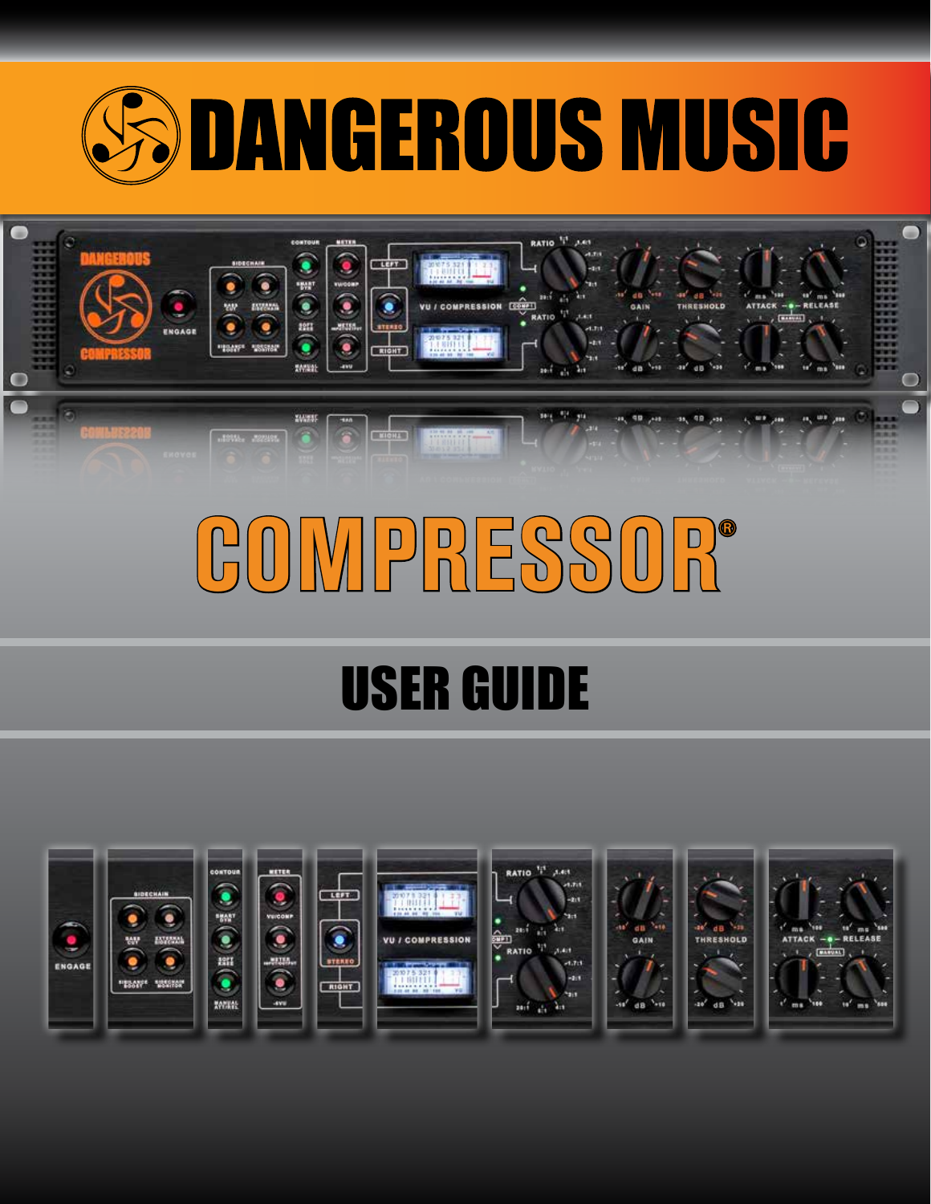



# COMPRESSOR®

## USER GUIDE

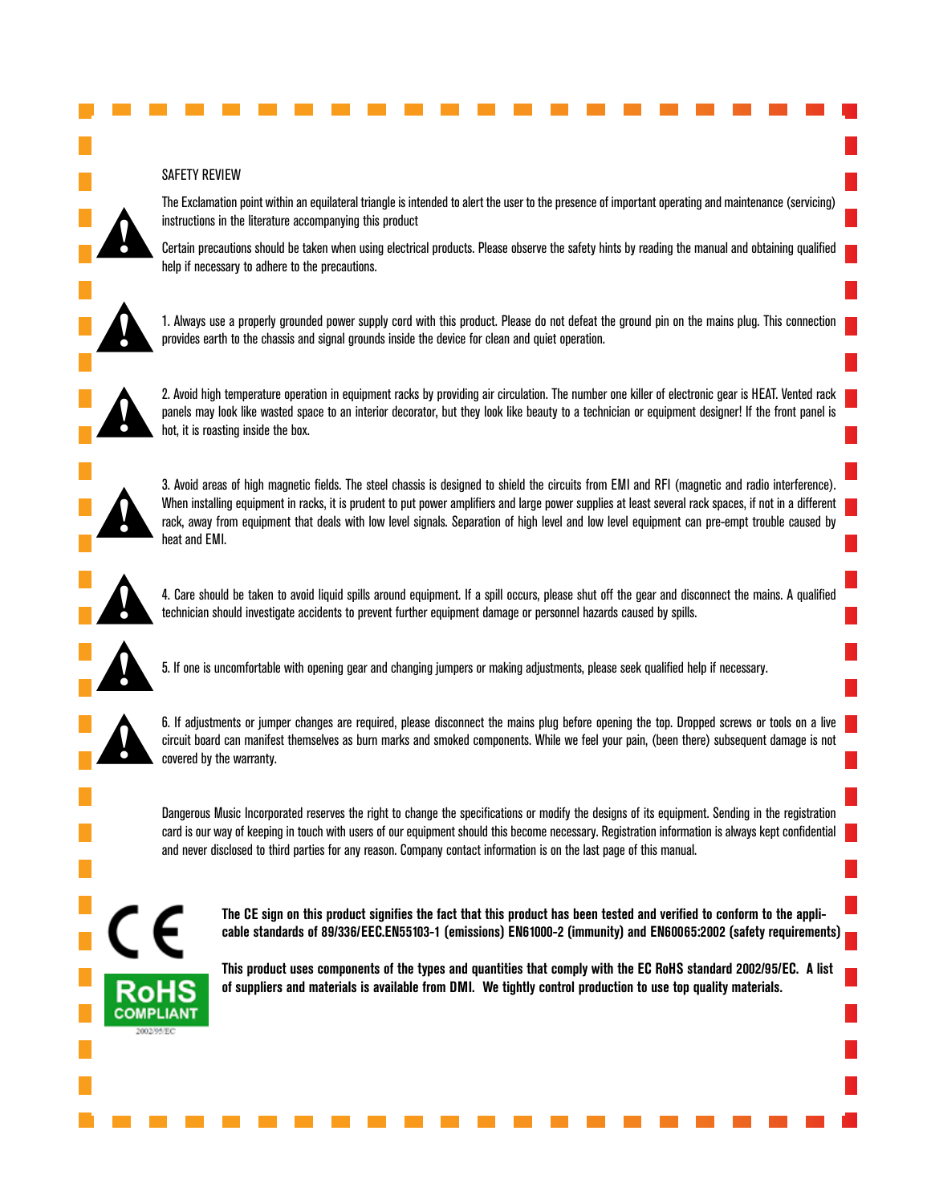#### SAFETY REVIEW

The Exclamation point within an equilateral triangle is intended to alert the user to the presence of important operating and maintenance (servicing) instructions in the literature accompanying this product

Certain precautions should be taken when using electrical products. Please observe the safety hints by reading the manual and obtaining qualified help if necessary to adhere to the precautions.



**!**

1. Always use a properly grounded power supply cord with this product. Please do not defeat the ground pin on the mains plug. This connection provides earth to the chassis and signal grounds inside the device for clean and quiet operation.



2. Avoid high temperature operation in equipment racks by providing air circulation. The number one killer of electronic gear is HEAT. Vented rack panels may look like wasted space to an interior decorator, but they look like beauty to a technician or equipment designer! If the front panel is hot, it is roasting inside the box.



3. Avoid areas of high magnetic fields. The steel chassis is designed to shield the circuits from EMI and RFI (magnetic and radio interference). When installing equipment in racks, it is prudent to put power amplifiers and large power supplies at least several rack spaces, if not in a different rack, away from equipment that deals with low level signals. Separation of high level and low level equipment can pre-empt trouble caused by heat and EMI.



4. Care should be taken to avoid liquid spills around equipment. If a spill occurs, please shut off the gear and disconnect the mains. A qualified technician should investigate accidents to prevent further equipment damage or personnel hazards caused by spills.



5. If one is uncomfortable with opening gear and changing jumpers or making adjustments, please seek qualified help if necessary.



6. If adjustments or jumper changes are required, please disconnect the mains plug before opening the top. Dropped screws or tools on a live circuit board can manifest themselves as burn marks and smoked components. While we feel your pain, (been there) subsequent damage is not covered by the warranty.

Dangerous Music Incorporated reserves the right to change the specifications or modify the designs of its equipment. Sending in the registration card is our way of keeping in touch with users of our equipment should this become necessary. Registration information is always kept confidential and never disclosed to third parties for any reason. Company contact information is on the last page of this manual.



**The CE sign on this product signifies the fact that this product has been tested and verified to conform to the applicable standards of 89/336/EEC.EN55103-1 (emissions) EN61000-2 (immunity) and EN60065:2002 (safety requirements)**

**This product uses components of the types and quantities that comply with the EC RoHS standard 2002/95/EC. A list of suppliers and materials is available from DMI. We tightly control production to use top quality materials.**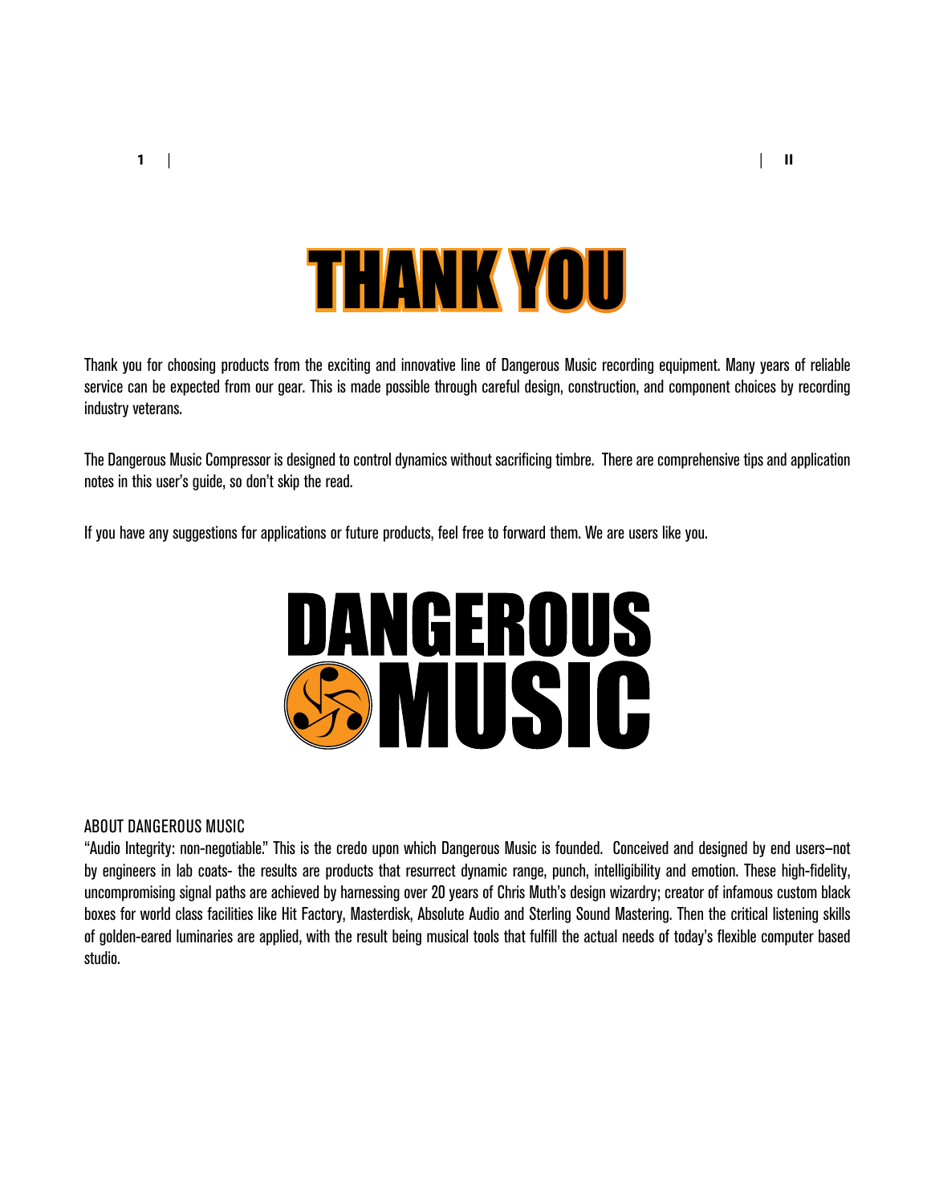

<span id="page-2-0"></span>Thank you for choosing products from the exciting and innovative line of Dangerous Music recording equipment. Many years of reliable service can be expected from our gear. This is made possible through careful design, construction, and component choices by recording industry veterans.

The Dangerous Music Compressor is designed to control dynamics without sacrificing timbre. There are comprehensive tips and application notes in this user's guide, so don't skip the read.

If you have any suggestions for applications or future products, feel free to forward them. We are users like you.



#### ABOUT DANGEROUS MUSIC

"Audio Integrity: non-negotiable." This is the credo upon which Dangerous Music is founded. Conceived and designed by end users—not by engineers in lab coats- the results are products that resurrect dynamic range, punch, intelligibility and emotion. These high-fidelity, uncompromising signal paths are achieved by harnessing over 20 years of Chris Muth's design wizardry; creator of infamous custom black boxes for world class facilities like Hit Factory, Masterdisk, Absolute Audio and Sterling Sound Mastering. Then the critical listening skills of golden-eared luminaries are applied, with the result being musical tools that fulfill the actual needs of today's flexible computer based studio.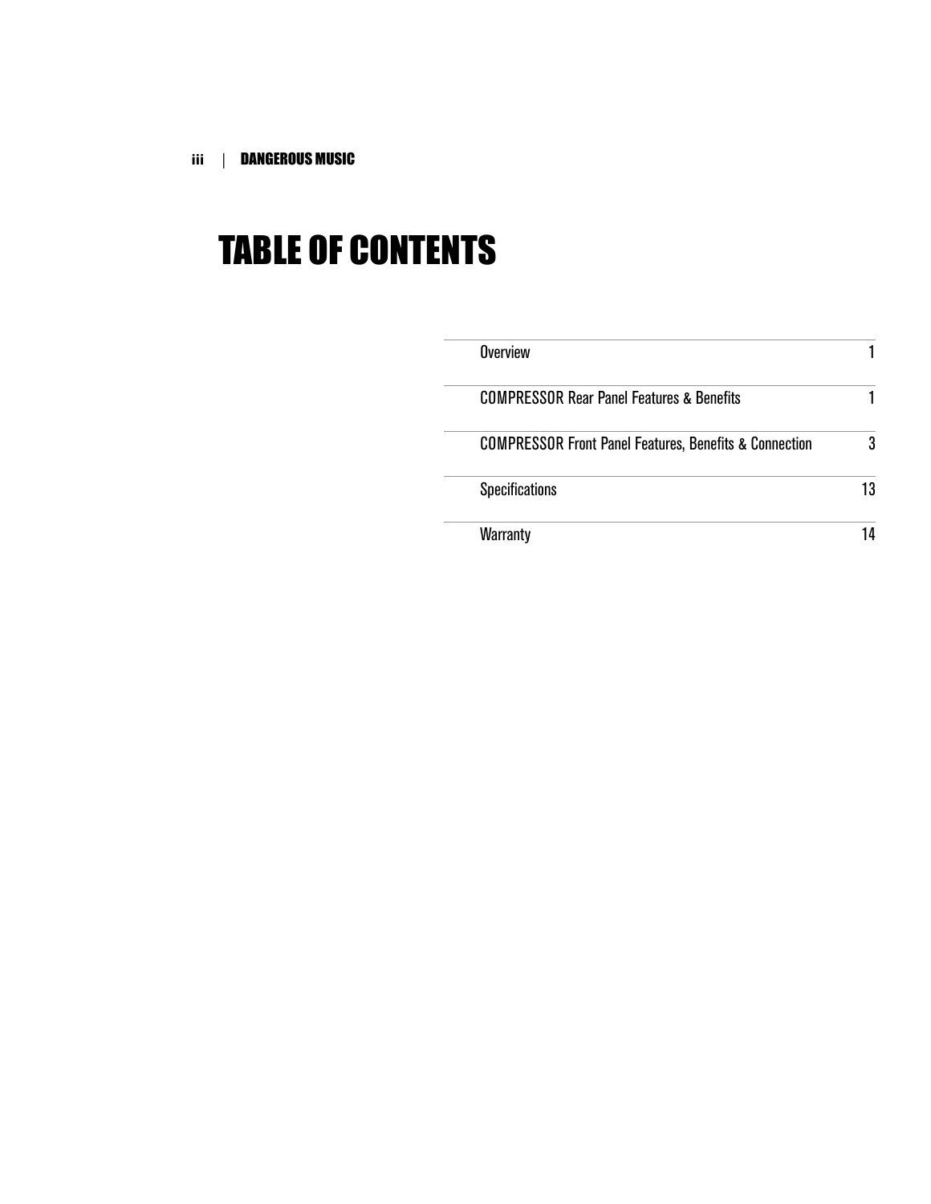**iii** | DANGEROUS MUSIC

### TABLE OF CONTENTS

| Overview                                                          |    |
|-------------------------------------------------------------------|----|
| <b>COMPRESSOR Rear Panel Features &amp; Benefits</b>              |    |
| <b>COMPRESSOR Front Panel Features, Benefits &amp; Connection</b> | 3  |
| <b>Specifications</b>                                             | 13 |
| Warranty                                                          | 14 |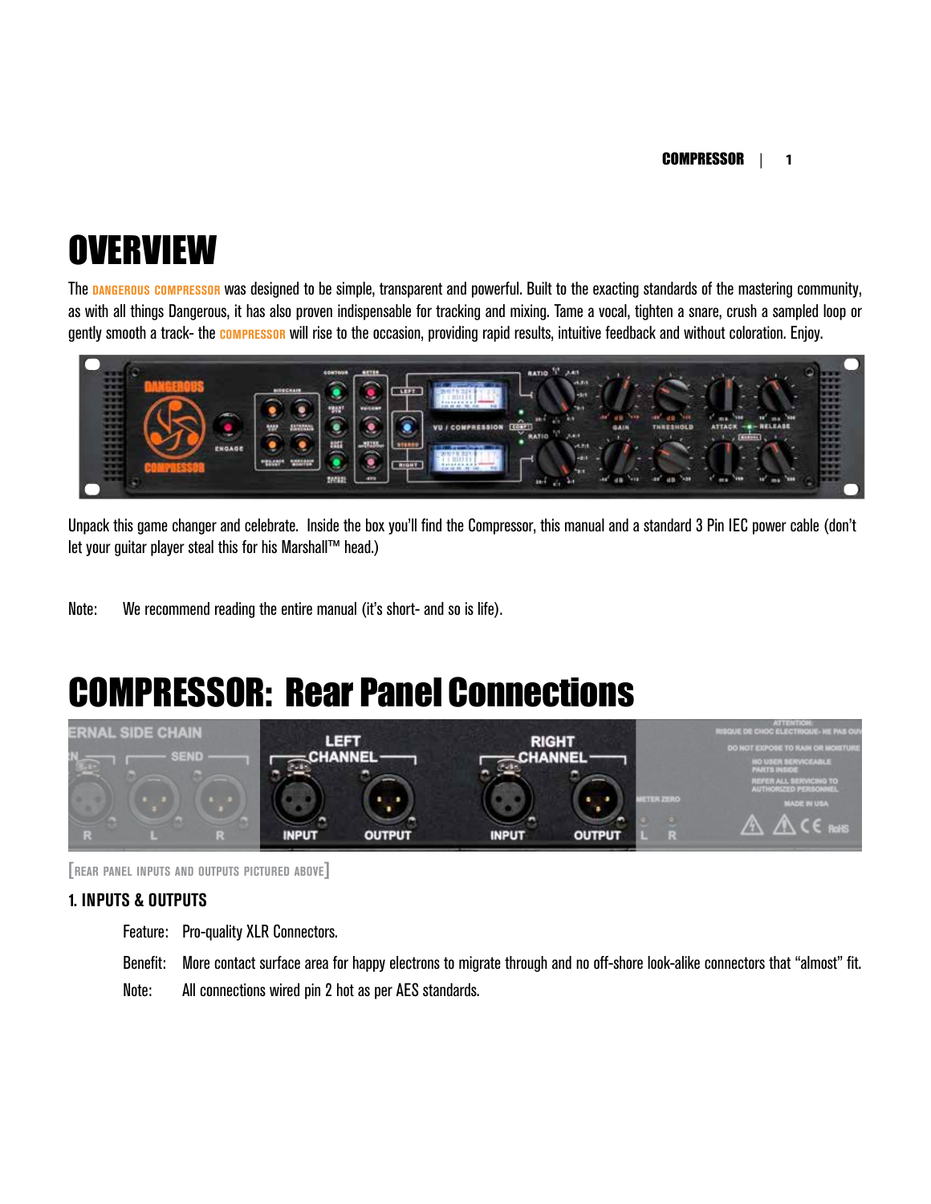### **OVERVIEW**

The **dangerous compressor** was designed to be simple, transparent and powerful. Built to the exacting standards of the mastering community, as with all things Dangerous, it has also proven indispensable for tracking and mixing. Tame a vocal, tighten a snare, crush a sampled loop or gently smooth a track- the **compressor** will rise to the occasion, providing rapid results, intuitive feedback and without coloration. Enjoy.



Unpack this game changer and celebrate. Inside the box you'll find the Compressor, this manual and a standard 3 Pin IEC power cable (don't let your quitar player steal this for his Marshall™ head.)

Note: We recommend reading the entire manual (it's short- and so is life).

### COMPRESSOR: Rear Panel Connections



**[rear panel inputs and outputs pictured above]**

#### **1. INPUTS & OUTPUTS**

Feature: Pro-quality XLR Connectors.

Benefit: More contact surface area for happy electrons to migrate through and no off-shore look-alike connectors that "almost" fit.

Note: All connections wired pin 2 hot as per AES standards.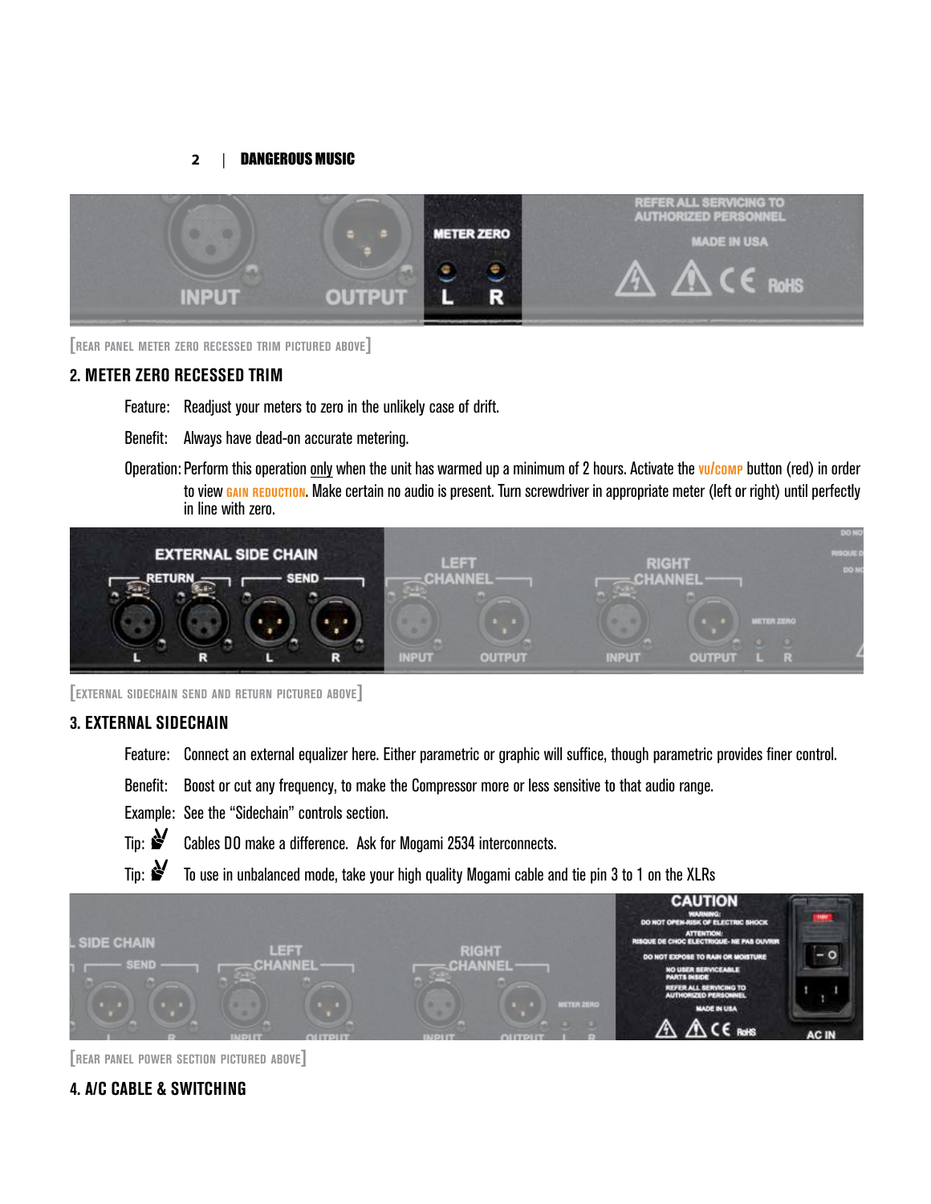

**[rear panel meter zero recessed trim pictured above]**

#### **2. METER ZERO RECESSED TRIM**

- Feature: Readjust your meters to zero in the unlikely case of drift.
- Benefit: Always have dead-on accurate metering.
- Operation: Perform this operation only when the unit has warmed up a minimum of 2 hours. Activate the **vu/comp** button (red) in order to view **GAIN REDUCTION**. Make certain no audio is present. Turn screwdriver in appropriate meter (left or right) until perfectly in line with zero.



**[external sidechain send and return pictured above]**

#### **3. EXTERNAL SIDECHAIN**

- Feature: Connect an external equalizer here. Either parametric or graphic will suffice, though parametric provides finer control.
- Benefit: Boost or cut any frequency, to make the Compressor more or less sensitive to that audio range.
- Example: See the "Sidechain" controls section.
- Tip:  $\mathbf{S}$  Cables DO make a difference. Ask for Mogami 2534 interconnects.
- Tip:  $\mathcal{F}$  To use in unbalanced mode, take your high quality Mogami cable and tie pin 3 to 1 on the XLRs



**[rear panel power section pictured above]**

#### **4. A/C CABLE & SWITCHING**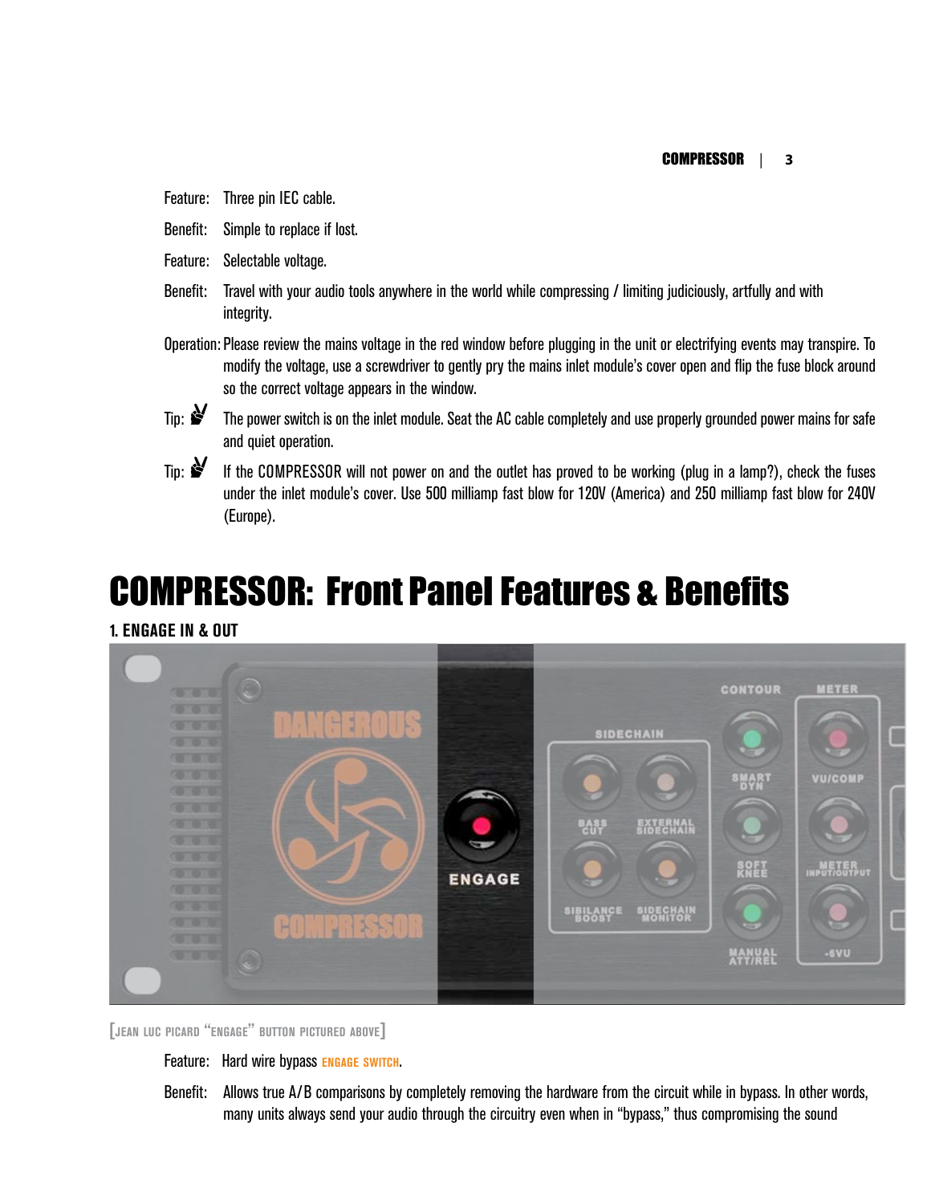- Feature: Three pin IEC cable.
- Benefit: Simple to replace if lost.
- Feature: Selectable voltage.
- Benefit: Travel with your audio tools anywhere in the world while compressing / limiting judiciously, artfully and with integrity.
- Operation: Please review the mains voltage in the red window before plugging in the unit or electrifying events may transpire. To modify the voltage, use a screwdriver to gently pry the mains inlet module's cover open and flip the fuse block around so the correct voltage appears in the window.



- Tip:  $\mathbf{\hat{S}}$  The power switch is on the inlet module. Seat the AC cable completely and use properly grounded power mains for safe and quiet operation.
- 
- Tip:  $\mathcal{F}$  If the COMPRESSOR will not power on and the outlet has proved to be working (plug in a lamp?), check the fuses under the inlet module's cover. Use 500 milliamp fast blow for 120V (America) and 250 milliamp fast blow for 240V (Europe).

### COMPRESSOR: Front Panel Features & Benefits

#### **1. ENGAGE IN & OUT**



**[jean luc picard "engage" button pictured above]**

#### Feature: Hard wire bypass **engage switch**.

Benefit: Allows true A/B comparisons by completely removing the hardware from the circuit while in bypass. In other words, many units always send your audio through the circuitry even when in "bypass," thus compromising the sound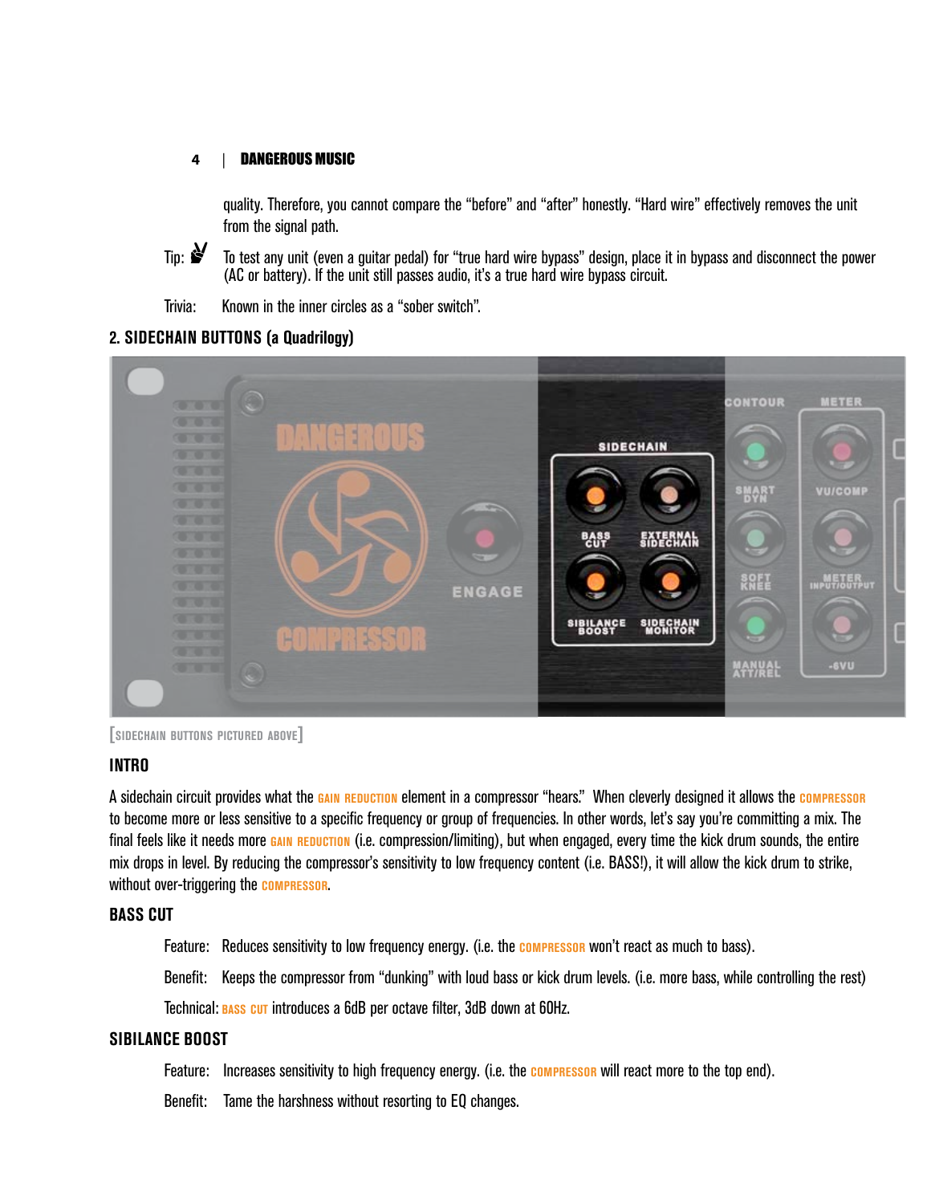quality. Therefore, you cannot compare the "before" and "after" honestly. "Hard wire" effectively removes the unit from the signal path.

<span id="page-7-0"></span>

Tip:  $\mathbf{S}$  To test any unit (even a guitar pedal) for "true hard wire bypass" design, place it in bypass and disconnect the power (AC or battery). If the unit still passes audio, it's a true hard wire bypass circuit.

Trivia: Known in the inner circles as a "sober switch".

#### **2. SIDECHAIN BUTTONS (a Quadrilogy)**



**[sidechain buttons pictured above]**

#### **INTRO**

A sidechain circuit provides what the **gain reduction** element in a compressor "hears." When cleverly designed it allows the **compressor** to become more or less sensitive to a specific frequency or group of frequencies. In other words, let's say you're committing a mix. The final feels like it needs more **gain reduction** (i.e. compression/limiting), but when engaged, every time the kick drum sounds, the entire mix drops in level. By reducing the compressor's sensitivity to low frequency content (i.e. BASS!), it will allow the kick drum to strike, without over-triggering the **compressor**.

#### **BASS CUT**

Feature: Reduces sensitivity to low frequency energy. (i.e. the **compressor** won't react as much to bass).

Benefit: Keeps the compressor from "dunking" with loud bass or kick drum levels. (i.e. more bass, while controlling the rest)

Technical: **bass cut** introduces a 6dB per octave filter, 3dB down at 60Hz.

#### **SIBILANCE BOOST**

Feature: Increases sensitivity to high frequency energy. (i.e. the **compressor** will react more to the top end).

Benefit: Tame the harshness without resorting to EQ changes.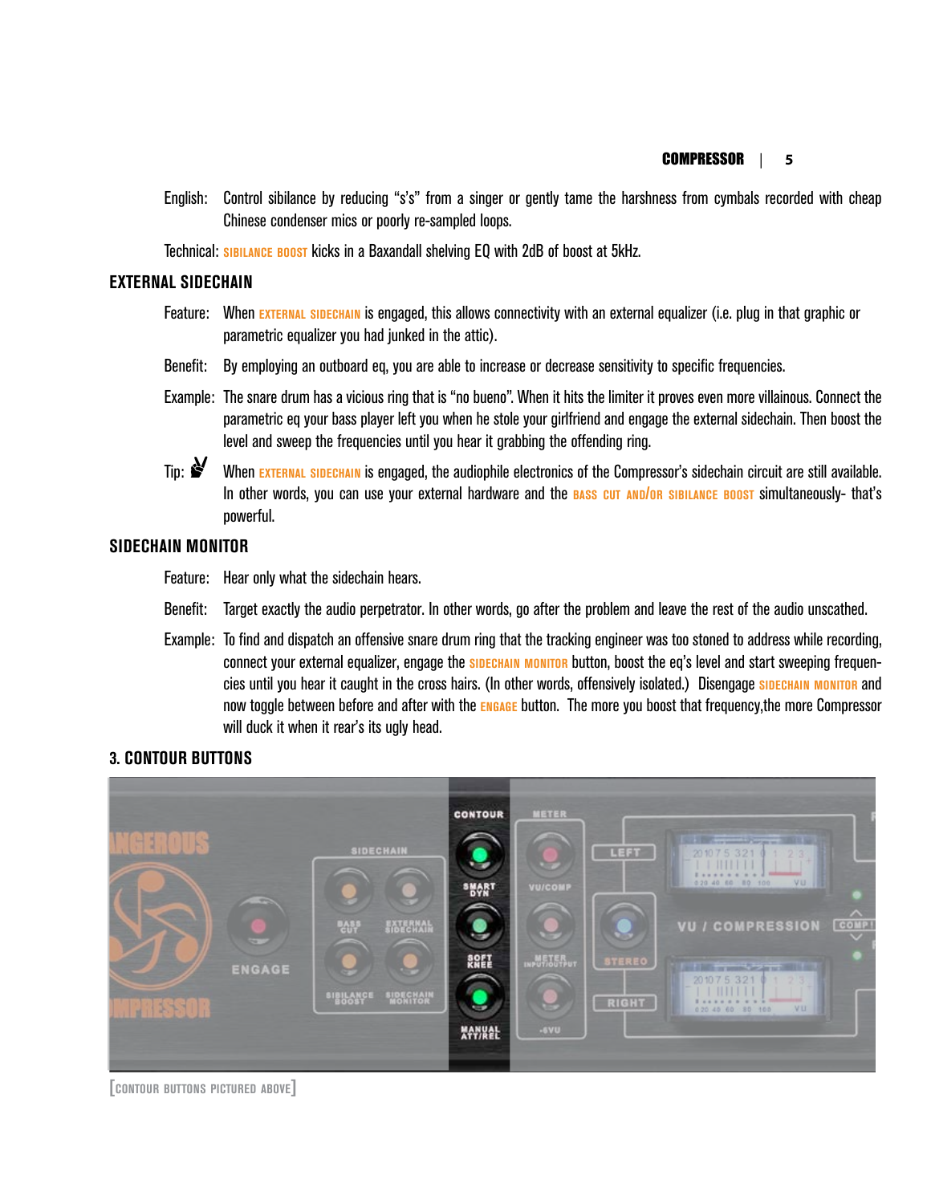English: Control sibilance by reducing "s's" from a singer or gently tame the harshness from cymbals recorded with cheap Chinese condenser mics or poorly re-sampled loops.

Technical: **sibilance boost** kicks in a Baxandall shelving EQ with 2dB of boost at 5kHz.

#### **EXTERNAL SIDECHAIN**

- Feature: When **external sidechain** is engaged, this allows connectivity with an external equalizer (i.e. plug in that graphic or parametric equalizer you had junked in the attic).
- Benefit: By employing an outboard eq, you are able to increase or decrease sensitivity to specific frequencies.
- Example: The snare drum has a vicious ring that is "no bueno". When it hits the limiter it proves even more villainous. Connect the parametric eq your bass player left you when he stole your girlfriend and engage the external sidechain. Then boost the level and sweep the frequencies until you hear it grabbing the offending ring.
- Tip:  $\mathbf{S}'$  When **EXTERNAL SIDECHAIN** is engaged, the audiophile electronics of the Compressor's sidechain circuit are still available. In other words, you can use your external hardware and the **bass cut and/or sibilance boost** simultaneously- that's powerful.

#### **SIDECHAIN MONITOR**

Feature: Hear only what the sidechain hears.

- Benefit: Target exactly the audio perpetrator. In other words, go after the problem and leave the rest of the audio unscathed.
- Example: To find and dispatch an offensive snare drum ring that the tracking engineer was too stoned to address while recording, connect your external equalizer, engage the **sidechain monitor** button, boost the eq's level and start sweeping frequencies until you hear it caught in the cross hairs. (In other words, offensively isolated.) Disengage **sidechain monitor** and now toggle between before and after with the **engage** button. The more you boost that frequency,the more Compressor will duck it when it rear's its ugly head.

#### **3. CONTOUR BUTTONS**



**[contour buttons pictured above]**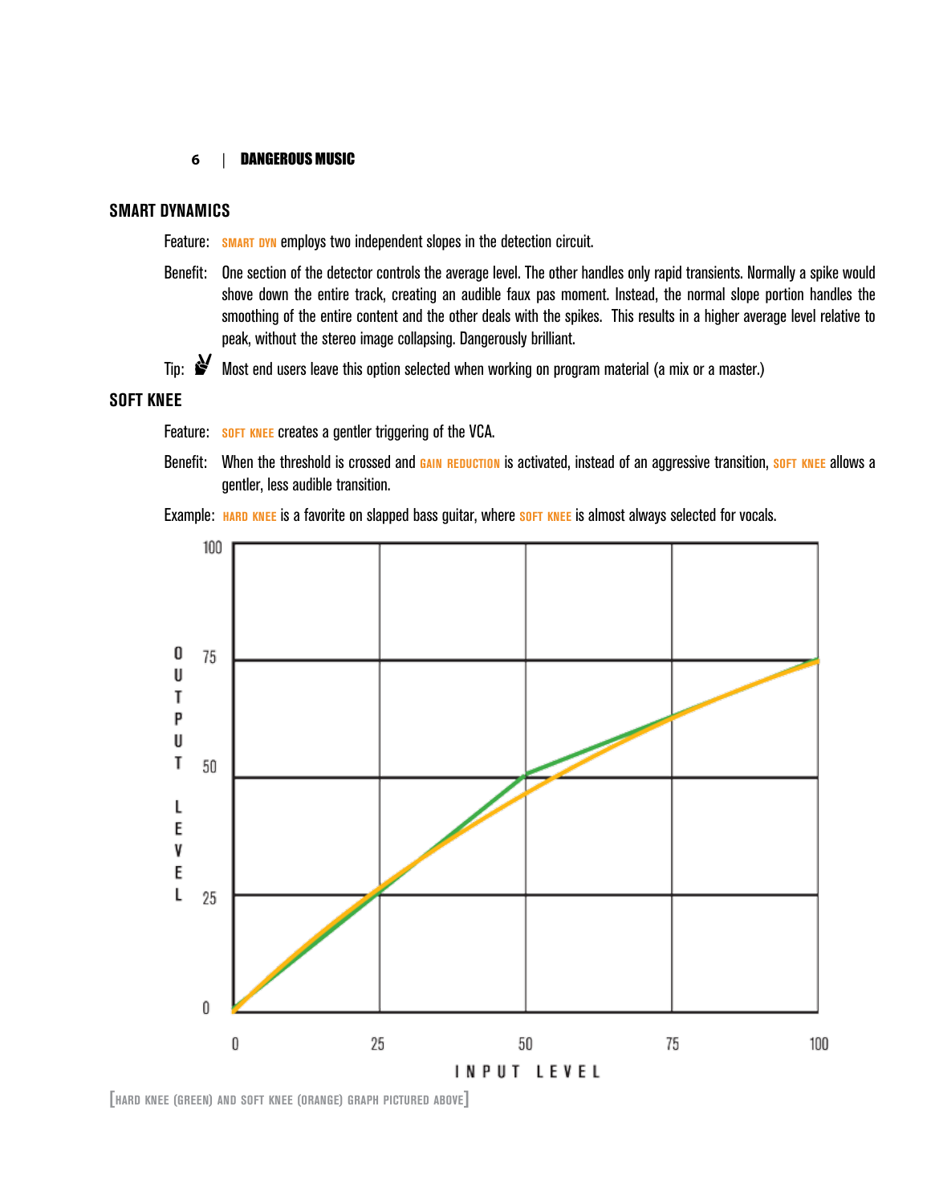#### **SMART DYNAMICS**

Feature: **SMART DYN** employs two independent slopes in the detection circuit.

- Benefit: One section of the detector controls the average level. The other handles only rapid transients. Normally a spike would shove down the entire track, creating an audible faux pas moment. Instead, the normal slope portion handles the smoothing of the entire content and the other deals with the spikes. This results in a higher average level relative to peak, without the stereo image collapsing. Dangerously brilliant.
- Tip:  $\mathcal Y$  Most end users leave this option selected when working on program material (a mix or a master.)

#### **SOFT KNEE**

- Feature: **SOFT KNEE** creates a gentler triggering of the VCA.
- Benefit: When the threshold is crossed and **gain reduction** is activated, instead of an aggressive transition, **soft knee** allows a gentler, less audible transition.





**[hard knee (green) and soft knee (orange) graph pictured above]**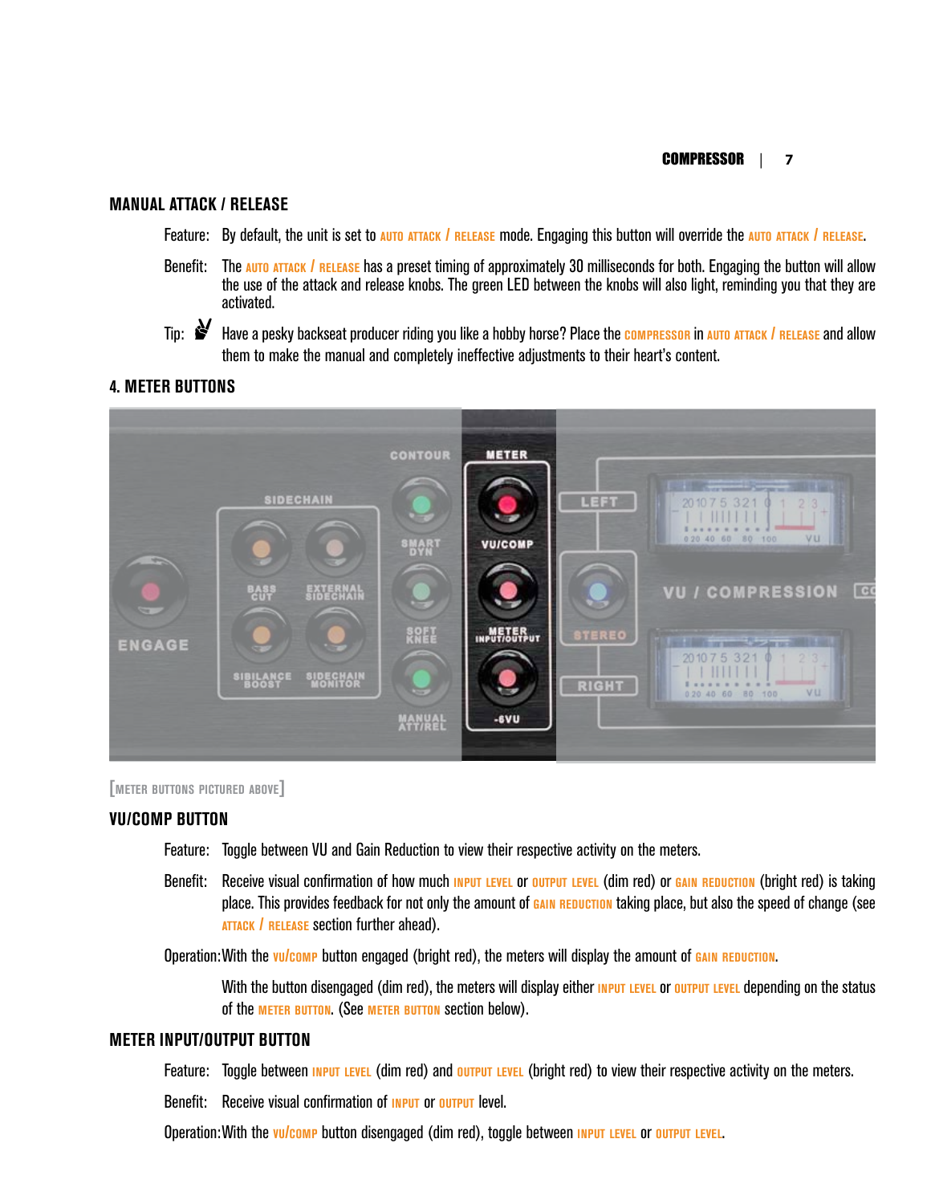#### **MANUAL ATTACK / RELEASE**

Feature: By default, the unit is set to **auto attack / release** mode. Engaging this button will override the **auto attack / release**.

Benefit: The **auto attack / release** has a preset timing of approximately 30 milliseconds for both. Engaging the button will allow the use of the attack and release knobs. The green LED between the knobs will also light, reminding you that they are activated.

Tip: , Have a pesky backseat producer riding you like a hobby horse? Place the **compressor** in **auto attack / release** and allow them to make the manual and completely ineffective adjustments to their heart's content.

#### **4. METER BUTTONS**





#### **VU/COMP BUTTON**

- Feature: Toggle between VU and Gain Reduction to view their respective activity on the meters.
- Benefit: Receive visual confirmation of how much **input level** or **output level** (dim red) or **gain reduction** (bright red) is taking place. This provides feedback for not only the amount of **gain reduction** taking place, but also the speed of change (see **attack / release** section further ahead).

Operation:With the **vu/comp** button engaged (bright red), the meters will display the amount of **gain reduction**.

With the button disengaged (dim red), the meters will display either **INPUT LEVEL** or **output LEVEL** depending on the status of the **meter button**. (See **meter button** section below).

#### **METER INPUT/OUTPUT BUTTON**

Feature: Toggle between **input level** (dim red) and **output level** (bright red) to view their respective activity on the meters.

Benefit: Receive visual confirmation of **input** or **output** level.

Operation:With the **vu/comp** button disengaged (dim red), toggle between **input level** or **output level**.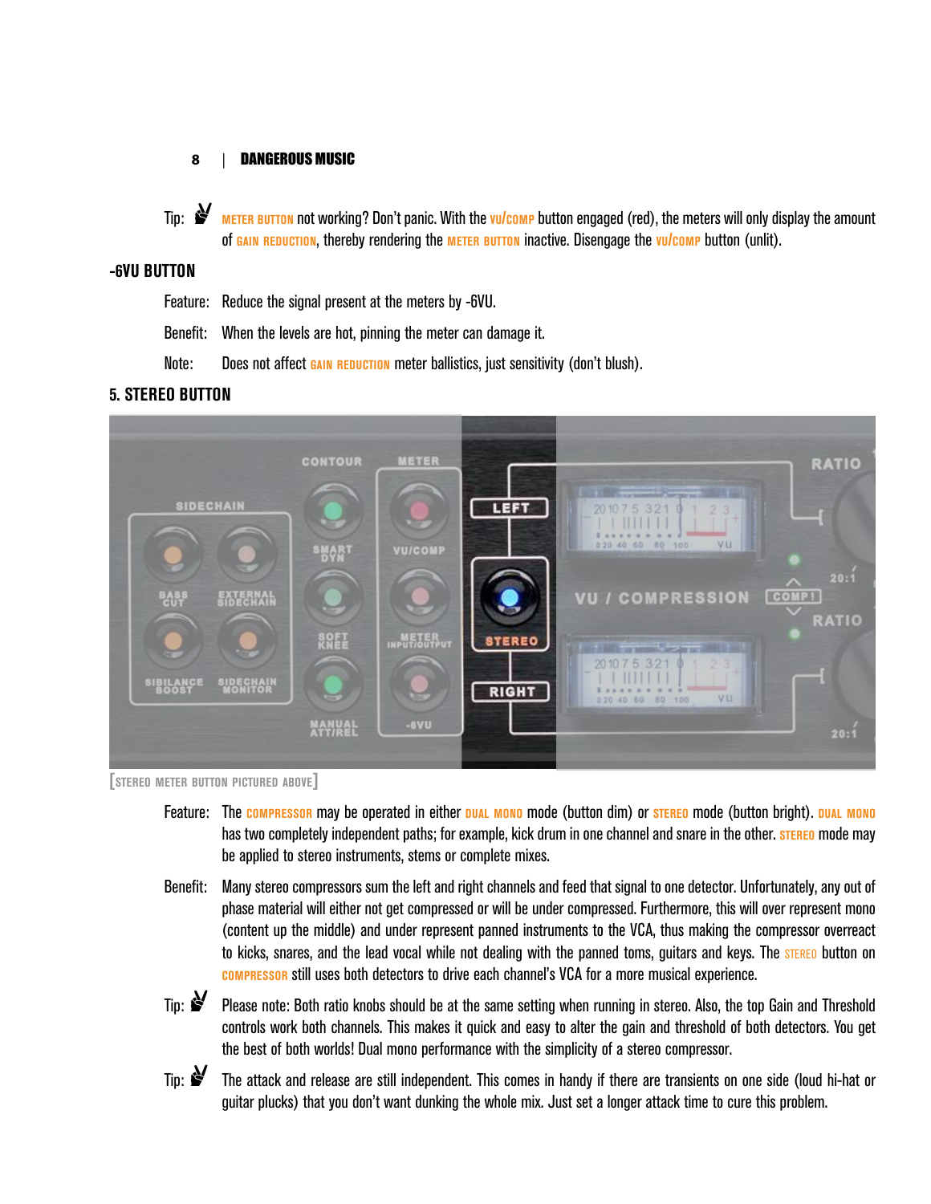Tip:  $\mathbf{S}'$  **METER BUTTON** not working? Don't panic. With the *vulcomp* button engaged (red), the meters will only display the amount of **gain reduction**, thereby rendering the **meter button** inactive. Disengage the **vu/comp** button (unlit).

#### **-6VU BUTTON**

- Feature: Reduce the signal present at the meters by -6VU.
- Benefit: When the levels are hot, pinning the meter can damage it.
- Note: Does not affect **gain reduction** meter ballistics, just sensitivity (don't blush).

#### **5. STEREO BUTTON**



**[stereo meter button pictured above]**

- Feature: The **compressor** may be operated in either **dual mono** mode (button dim) or **stereo** mode (button bright). **dual mono** has two completely independent paths; for example, kick drum in one channel and snare in the other. **stereo** mode may be applied to stereo instruments, stems or complete mixes.
- Benefit: Many stereo compressors sum the left and right channels and feed that signal to one detector. Unfortunately, any out of phase material will either not get compressed or will be under compressed. Furthermore, this will over represent mono (content up the middle) and under represent panned instruments to the VCA, thus making the compressor overreact to kicks, snares, and the lead vocal while not dealing with the panned toms, guitars and keys. The **STEREO** button on **compressor** still uses both detectors to drive each channel's VCA for a more musical experience.
- Tip:  $\mathcal{F}$  Please note: Both ratio knobs should be at the same setting when running in stereo. Also, the top Gain and Threshold controls work both channels. This makes it quick and easy to alter the gain and threshold of both detectors. You get the best of both worlds! Dual mono performance with the simplicity of a stereo compressor.
- 
- Tip:  $\mathcal{F}$  The attack and release are still independent. This comes in handy if there are transients on one side (loud hi-hat or guitar plucks) that you don't want dunking the whole mix. Just set a longer attack time to cure this problem.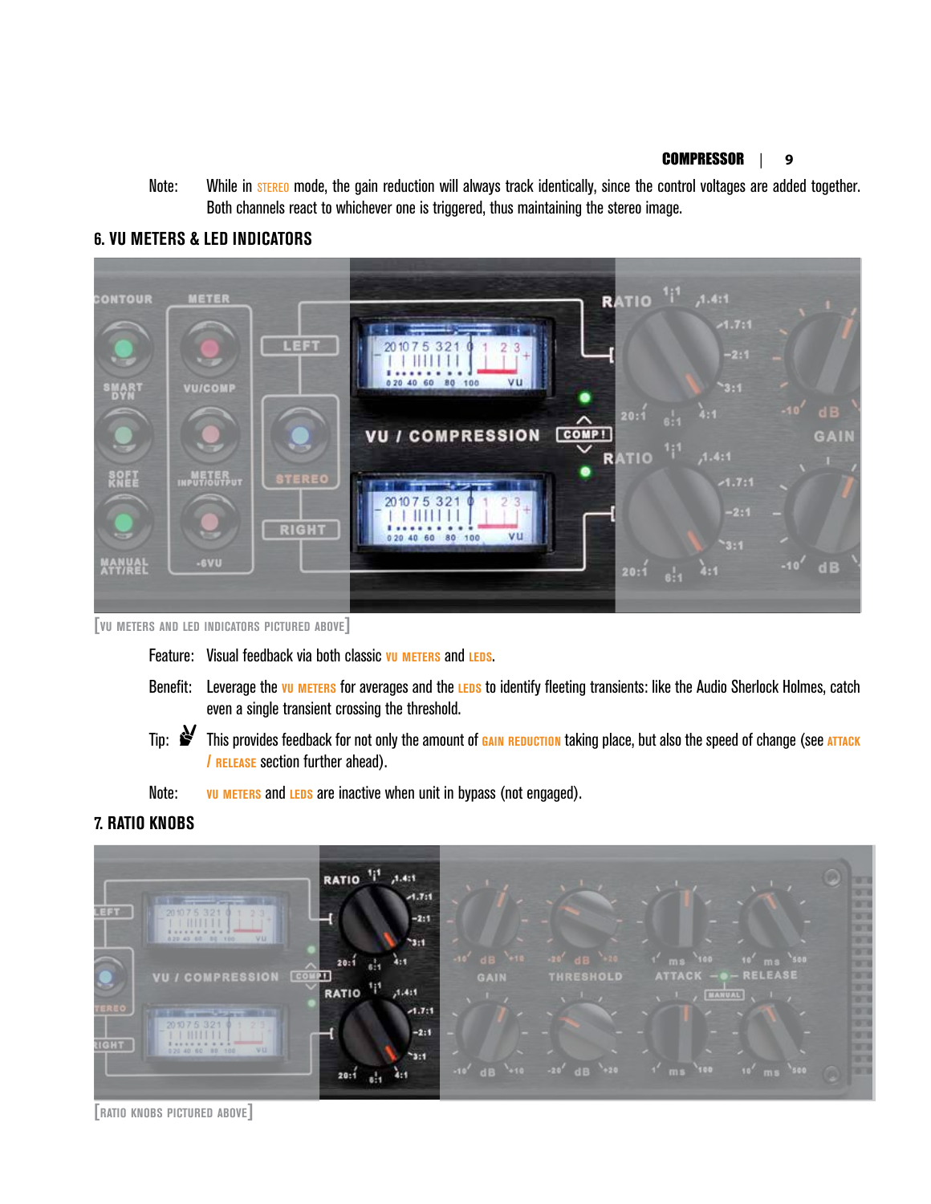Note: While in **STEREO** mode, the gain reduction will always track identically, since the control voltages are added together. Both channels react to whichever one is triggered, thus maintaining the stereo image.



#### **6. VU METERS & LED INDICATORS**

**[vu meters and led indicators pictured above]**

- Feature: Visual feedback via both classic vu METERS and LEDS.
- Benefit: Leverage the *vu* METERS for averages and the LEDS to identify fleeting transients: like the Audio Sherlock Holmes, catch even a single transient crossing the threshold.
- Tip:  $\mathcal{F}$  This provides feedback for not only the amount of **GAIN REDUCTION** taking place, but also the speed of change (see ATTACK **/ release** section further ahead).
- Note: **vu METERS** and **LEDS** are inactive when unit in bypass (not engaged).

#### **7. RATIO KNOBS**



**[ratio knobs pictured above]**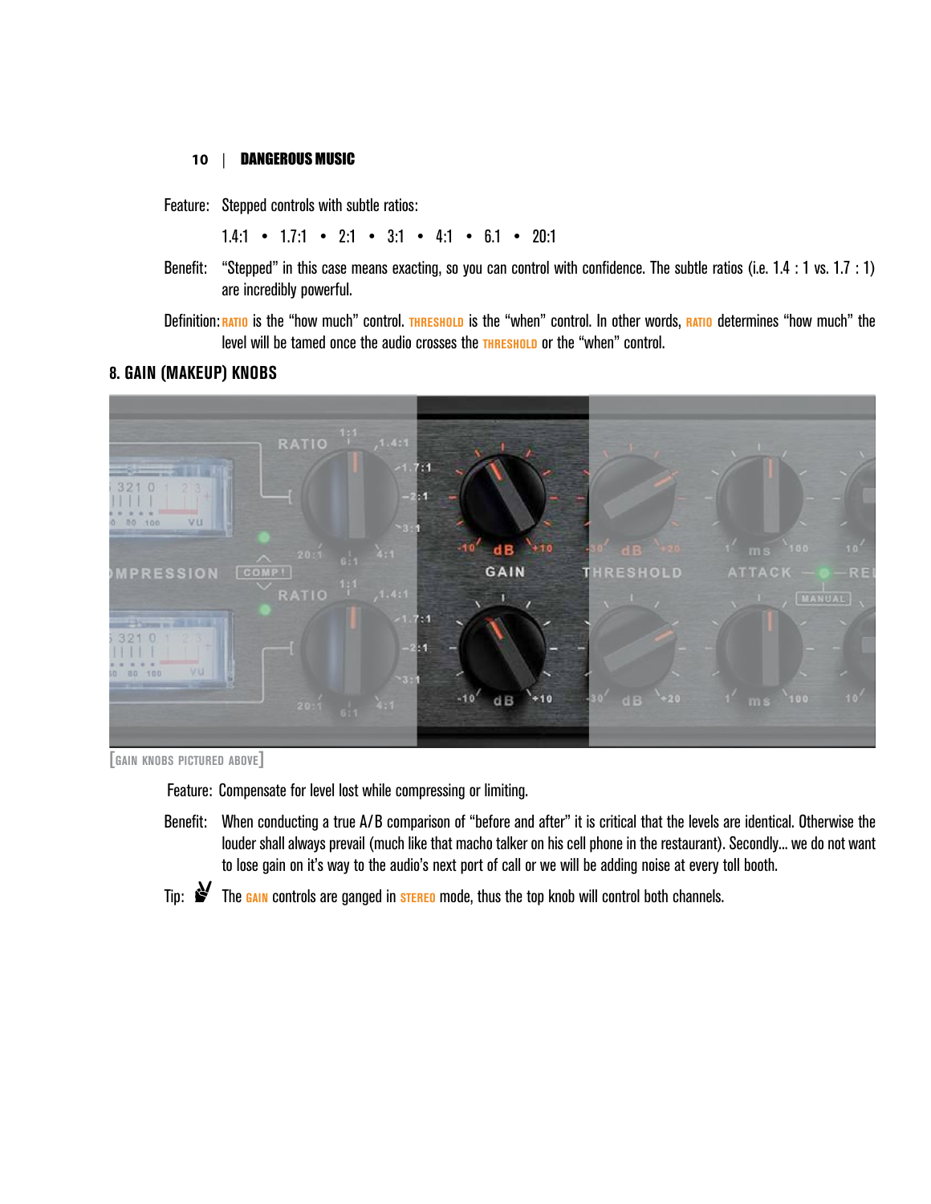Feature: Stepped controls with subtle ratios:

1.4:1 • 1.7:1 • 2:1 • 3:1 • 4:1 • 6.1 • 20:1

Benefit: "Stepped" in this case means exacting, so you can control with confidence. The subtle ratios (i.e. 1.4 : 1 vs. 1.7 : 1) are incredibly powerful.

Definition: **RATIO** is the "how much" control. **THRESHOLD** is the "when" control. In other words, **RATIO** determines "how much" the level will be tamed once the audio crosses the **THRESHOLD** or the "when" control.

#### **8. GAIN (MAKEUP) KNOBS**



**[gain knobs pictured above]**

Feature: Compensate for level lost while compressing or limiting.

Benefit: When conducting a true A/B comparison of "before and after" it is critical that the levels are identical. Otherwise the louder shall always prevail (much like that macho talker on his cell phone in the restaurant). Secondly... we do not want to lose gain on it's way to the audio's next port of call or we will be adding noise at every toll booth.



Tip:  $\mathbf{S}'$  The **gain** controls are ganged in **steral mode**, thus the top knob will control both channels.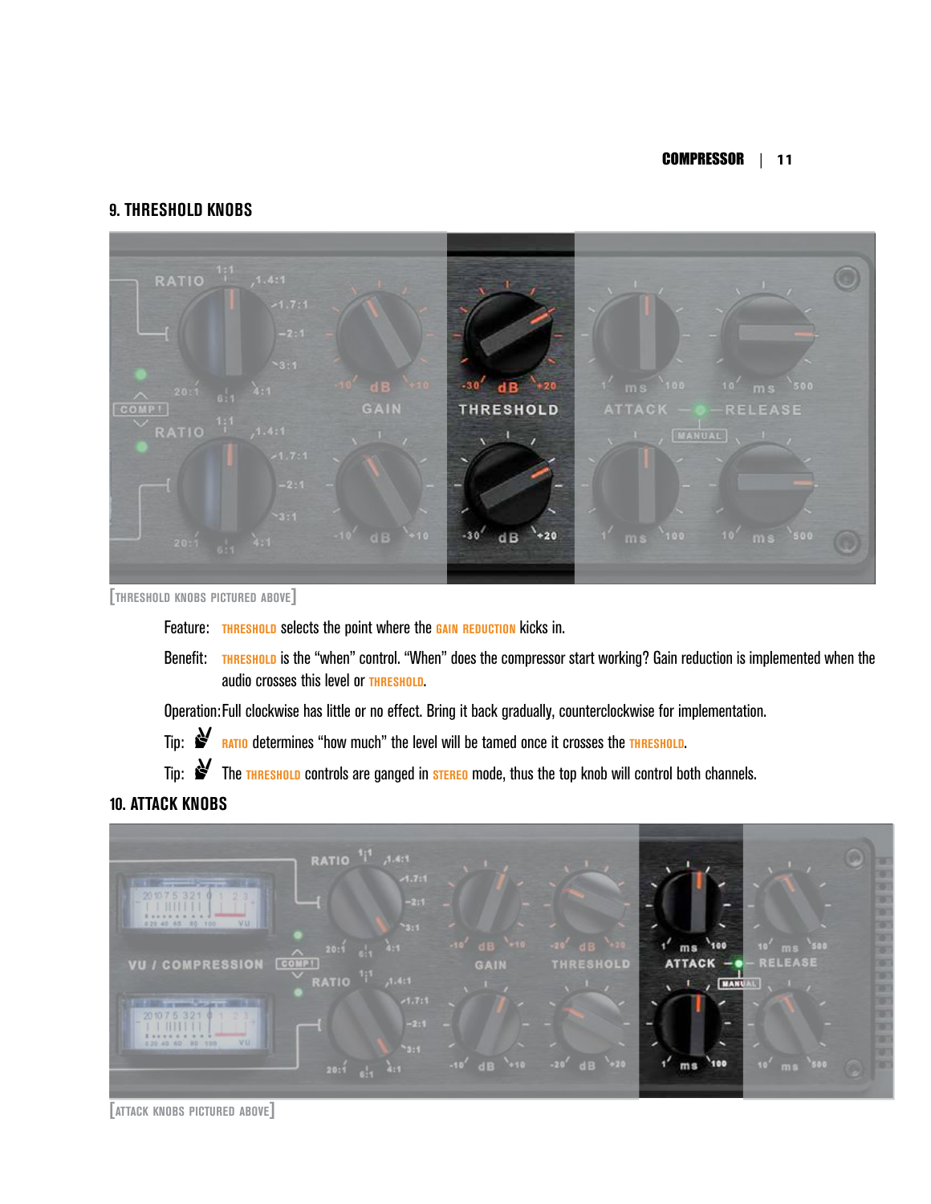#### **9. THRESHOLD KNOBS**



**[threshold knobs pictured above]** 

Feature: **THRESHOLD** selects the point where the GAIN REDUCTION kicks in.

Benefit: **THRESHOLD** is the "when" control. "When" does the compressor start working? Gain reduction is implemented when the audio crosses this level or **threshold**.

Operation:Full clockwise has little or no effect. Bring it back gradually, counterclockwise for implementation.

Tip:  $\mathbf{r}$  **RATIO** determines "how much" the level will be tamed once it crosses the **THRESHOLD**.

Tip:  $\mathcal Y$  The **THRESHOLD** controls are ganged in **STEREO** mode, thus the top knob will control both channels.

#### **10. ATTACK KNOBS**



**<sup>[</sup>attack knobs pictured above]**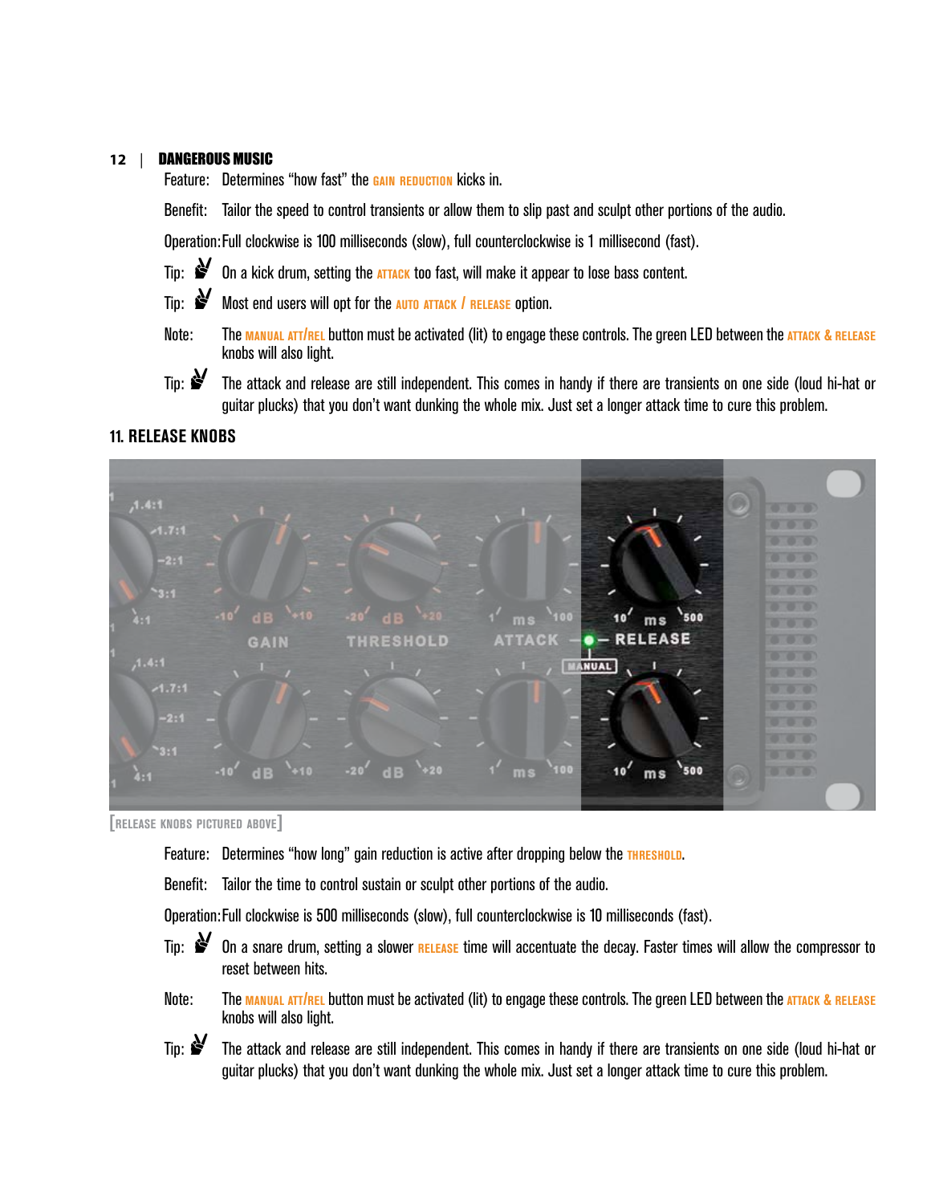Feature: Determines "how fast" the **GAIN REDUCTION** kicks in.

Benefit: Tailor the speed to control transients or allow them to slip past and sculpt other portions of the audio.

Operation:Full clockwise is 100 milliseconds (slow), full counterclockwise is 1 millisecond (fast).

- Tip:  $\mathbf{\hat{S}}$  On a kick drum, setting the **ATTACK** too fast, will make it appear to lose bass content.
- Tip:  $\mathbf{S}'$  Most end users will opt for the **AUTO ATTACK** / RELEASE option.
- Note: The **manual att/rel** button must be activated (lit) to engage these controls. The green LED between the **attack & release** knobs will also light.
- Tip:  $\mathcal{F}$  The attack and release are still independent. This comes in handy if there are transients on one side (loud hi-hat or guitar plucks) that you don't want dunking the whole mix. Just set a longer attack time to cure this problem.

#### **11. RELEASE KNOBS**



**[release knobs pictured above]**

- Feature: Determines "how long" gain reduction is active after dropping below the **THRESHOLD**.
- Benefit: Tailor the time to control sustain or sculpt other portions of the audio.

Operation:Full clockwise is 500 milliseconds (slow), full counterclockwise is 10 milliseconds (fast).

- Tip:  $\mathbf{S}$  On a snare drum, setting a slower **RELEASE** time will accentuate the decay. Faster times will allow the compressor to reset between hits.
- Note: The **manual att/rel** button must be activated (lit) to engage these controls. The green LED between the **attack & release** knobs will also light.
- Tip:  $\mathbf{S}'$  The attack and release are still independent. This comes in handy if there are transients on one side (loud hi-hat or guitar plucks) that you don't want dunking the whole mix. Just set a longer attack time to cure this problem.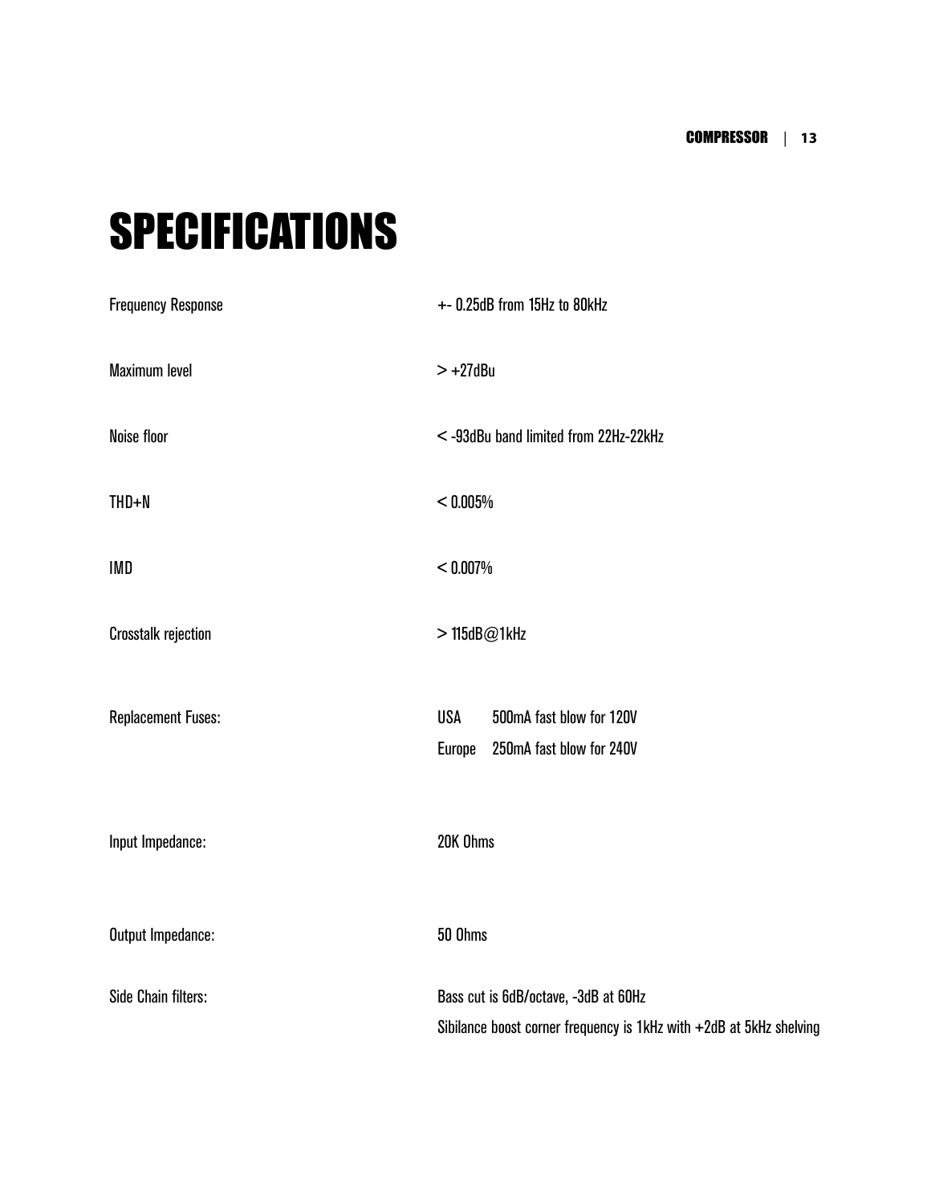### SPECIFICATIONS

| <b>Frequency Response</b>  | +- 0.25dB from 15Hz to 80kHz                                                                                |
|----------------------------|-------------------------------------------------------------------------------------------------------------|
| Maximum level              | $> +27$ dBu                                                                                                 |
| Noise floor                | <-93dBu band limited from 22Hz-22kHz                                                                        |
| $THD + N$                  | < 0.005%                                                                                                    |
| IMD                        | < 0.007%                                                                                                    |
| <b>Crosstalk rejection</b> | >115dB@1kHz                                                                                                 |
| <b>Replacement Fuses:</b>  | <b>USA</b><br>500mA fast blow for 120V<br>Europe<br>250mA fast blow for 240V                                |
| Input Impedance:           | 20K Ohms                                                                                                    |
| Output Impedance:          | 50 Ohms                                                                                                     |
| Side Chain filters:        | Bass cut is 6dB/octave, -3dB at 60Hz<br>Sibilance boost corner frequency is 1kHz with +2dB at 5kHz shelving |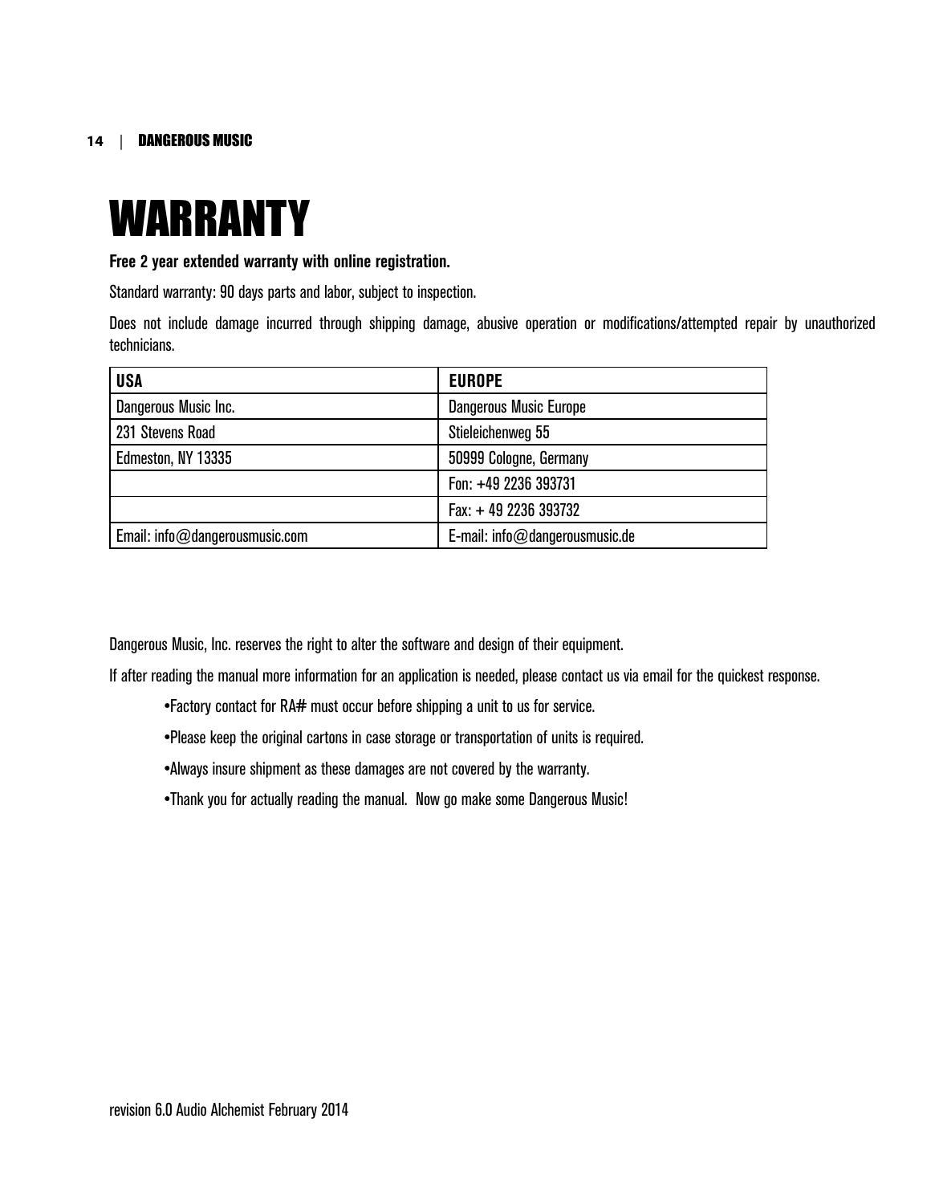### WARRANTY

#### **Free 2 year extended warranty with online registration.**

Standard warranty: 90 days parts and labor, subject to inspection.

Does not include damage incurred through shipping damage, abusive operation or modifications/attempted repair by unauthorized technicians.

| <b>USA</b>                     | <b>EUROPE</b>                     |
|--------------------------------|-----------------------------------|
| Dangerous Music Inc.           | <b>Dangerous Music Europe</b>     |
| 231 Stevens Road               | Stieleichenweg 55                 |
| Edmeston, NY 13335             | 50999 Cologne, Germany            |
|                                | Fon: +49 2236 393731              |
|                                | Fax: +49 2236 393732              |
| Email: info@dangerousmusic.com | E-mail: $info@dangerous music.de$ |

Dangerous Music, Inc. reserves the right to alter the software and design of their equipment.

If after reading the manual more information for an application is needed, please contact us via email for the quickest response.

- •Factory contact for RA# must occur before shipping a unit to us for service.
- •Please keep the original cartons in case storage or transportation of units is required.
- •Always insure shipment as these damages are not covered by the warranty.
- •Thank you for actually reading the manual. Now go make some Dangerous Music!